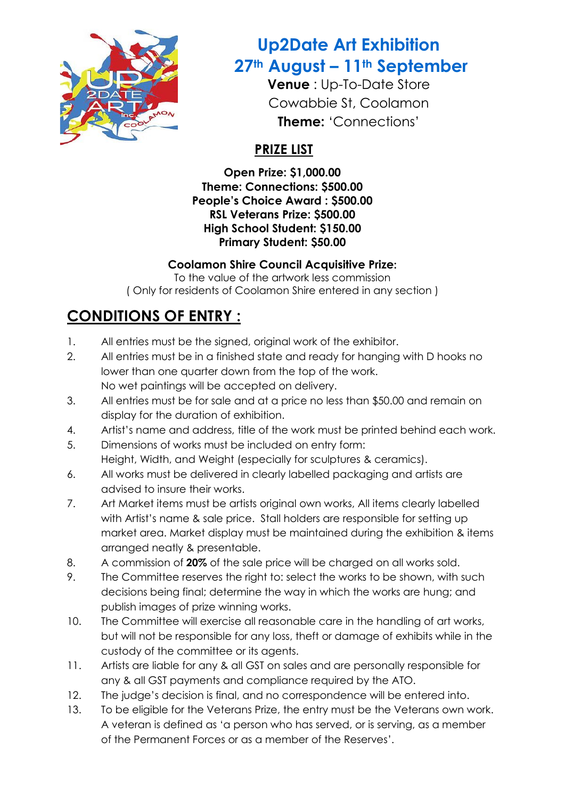

## **Up2Date Art Exhibition 27th August – 11th September**

**Venue** : Up-To-Date Store Cowabbie St, Coolamon **Theme:** 'Connections'

### **PRIZE LIST**

**Open Prize: \$1,000.00 Theme: Connections: \$500.00 People's Choice Award : \$500.00 RSL Veterans Prize: \$500.00 High School Student: \$150.00 Primary Student: \$50.00**

### **Coolamon Shire Council Acquisitive Prize:**

To the value of the artwork less commission ( Only for residents of Coolamon Shire entered in any section )

# **CONDITIONS OF ENTRY :**

- 1. All entries must be the signed, original work of the exhibitor.
- 2. All entries must be in a finished state and ready for hanging with D hooks no lower than one quarter down from the top of the work. No wet paintings will be accepted on delivery.
- 3. All entries must be for sale and at a price no less than \$50.00 and remain on display for the duration of exhibition.
- 4. Artist's name and address, title of the work must be printed behind each work.
- 5. Dimensions of works must be included on entry form: Height, Width, and Weight (especially for sculptures & ceramics).
- 6. All works must be delivered in clearly labelled packaging and artists are advised to insure their works.
- 7. Art Market items must be artists original own works, All items clearly labelled with Artist's name & sale price. Stall holders are responsible for setting up market area. Market display must be maintained during the exhibition & items arranged neatly & presentable.
- 8. A commission of **20%** of the sale price will be charged on all works sold.
- 9. The Committee reserves the right to: select the works to be shown, with such decisions being final; determine the way in which the works are hung; and publish images of prize winning works.
- 10. The Committee will exercise all reasonable care in the handling of art works, but will not be responsible for any loss, theft or damage of exhibits while in the custody of the committee or its agents.
- 11. Artists are liable for any & all GST on sales and are personally responsible for any & all GST payments and compliance required by the ATO.
- 12. The judge's decision is final, and no correspondence will be entered into.
- 13. To be eligible for the Veterans Prize, the entry must be the Veterans own work. A veteran is defined as 'a person who has served, or is serving, as a member of the Permanent Forces or as a member of the Reserves'.